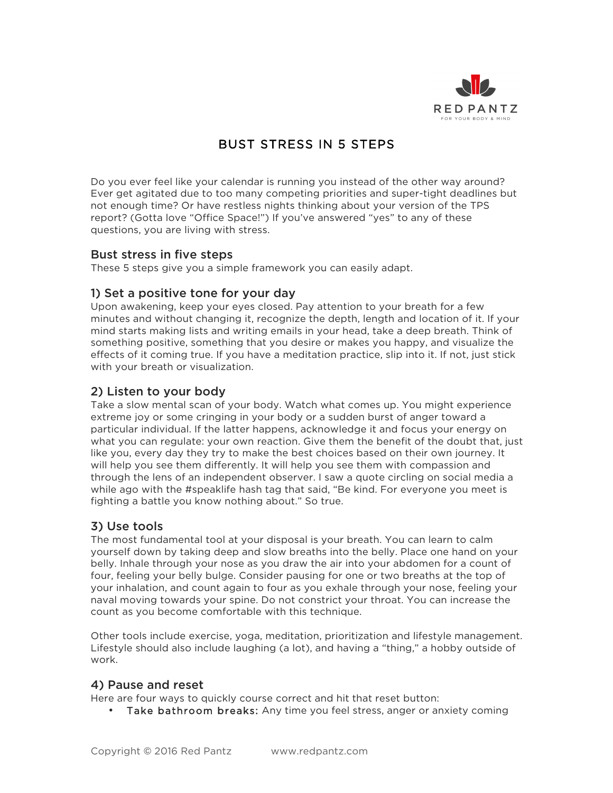

# BUST STRESS IN 5 STEPS

Do you ever feel like your calendar is running you instead of the other way around? Ever get agitated due to too many competing priorities and super-tight deadlines but not enough time? Or have restless nights thinking about your version of the TPS report? (Gotta love "Office Space!") If you've answered "yes" to any of these questions, you are living with stress.

## Bust stress in five steps

These 5 steps give you a simple framework you can easily adapt.

## 1) Set a positive tone for your day

Upon awakening, keep your eyes closed. Pay attention to your breath for a few minutes and without changing it, recognize the depth, length and location of it. If your mind starts making lists and writing emails in your head, take a deep breath. Think of something positive, something that you desire or makes you happy, and visualize the effects of it coming true. If you have a meditation practice, slip into it. If not, just stick with your breath or visualization.

## 2) Listen to your body

Take a slow mental scan of your body. Watch what comes up. You might experience extreme joy or some cringing in your body or a sudden burst of anger toward a particular individual. If the latter happens, acknowledge it and focus your energy on what you can regulate: your own reaction. Give them the benefit of the doubt that, just like you, every day they try to make the best choices based on their own journey. It will help you see them differently. It will help you see them with compassion and through the lens of an independent observer. I saw a quote circling on social media a while ago with the #speaklife hash tag that said, "Be kind. For everyone you meet is fighting a battle you know nothing about." So true.

## 3) Use tools

The most fundamental tool at your disposal is your breath. You can learn to calm yourself down by taking deep and slow breaths into the belly. Place one hand on your belly. Inhale through your nose as you draw the air into your abdomen for a count of four, feeling your belly bulge. Consider pausing for one or two breaths at the top of your inhalation, and count again to four as you exhale through your nose, feeling your naval moving towards your spine. Do not constrict your throat. You can increase the count as you become comfortable with this technique.

Other tools include exercise, yoga, meditation, prioritization and lifestyle management. Lifestyle should also include laughing (a lot), and having a "thing," a hobby outside of work.

## 4) Pause and reset

Here are four ways to quickly course correct and hit that reset button:

• Take bathroom breaks: Any time you feel stress, anger or anxiety coming